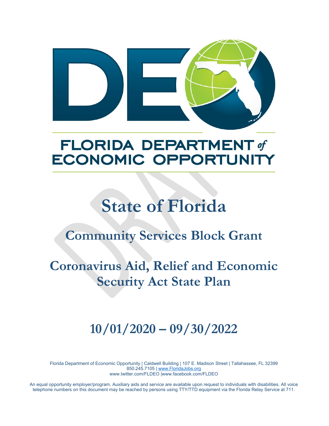

## **FLORIDA DEPARTMENT of ECONOMIC OPPORTUNITY**

# **State of Florida**

## **Community Services Block Grant**

## **Coronavirus Aid, Relief and Economic Security Act State Plan**

## **10/01/2020 – 09/30/2022**

Florida Department of Economic Opportunity | Caldwell Building | 107 E. Madison Street | Tallahassee, FL 32399 850.245.7105 | www.FloridaJobs.org www.twitter.com/FLDEO |www.facebook.com/FLDEO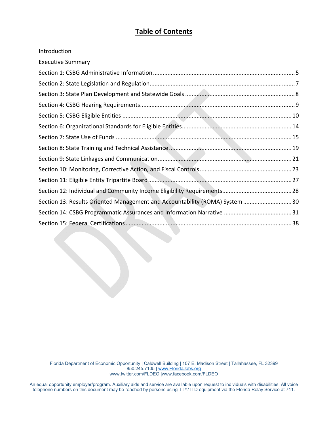## **Table of Contents**

| Introduction                                                                 |  |
|------------------------------------------------------------------------------|--|
| <b>Executive Summary</b>                                                     |  |
|                                                                              |  |
|                                                                              |  |
|                                                                              |  |
|                                                                              |  |
|                                                                              |  |
|                                                                              |  |
|                                                                              |  |
|                                                                              |  |
|                                                                              |  |
|                                                                              |  |
|                                                                              |  |
|                                                                              |  |
| Section 13: Results Oriented Management and Accountability (ROMA) System  30 |  |
|                                                                              |  |
|                                                                              |  |

Florida Department of Economic Opportunity | Caldwell Building | 107 E. Madison Street | Tallahassee, FL 32399 850.245.7105 | www.FloridaJobs.org www.twitter.com/FLDEO |www.facebook.com/FLDEO

the contract of the contract of the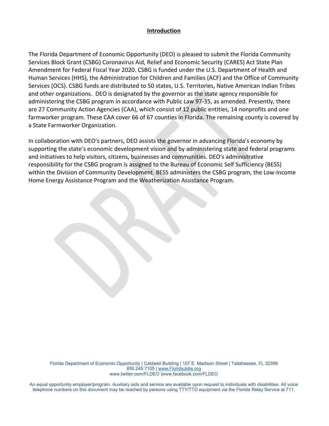#### **Introduction**

The Florida Department of Economic Opportunity (DEO) is pleased to submit the Florida Community Services Block Grant (CSBG) Coronavirus Aid, Relief and Economic Security (CARES) Act State Plan Amendment for Federal Fiscal Year 2020. CSBG is funded under the U.S. Department of Health and Human Services (HHS), the Administration for Children and Families (ACF) and the Office of Community Services (OCS). CSBG funds are distributed to 50 states, U.S. Territories, Native American Indian Tribes and other organizations. DEO is designated by the governor as the state agency responsible for administering the CSBG program in accordance with Public Law 97‐35, as amended. Presently, there are 27 Community Action Agencies (CAA), which consist of 12 public entities, 14 nonprofits and one farmworker program. These CAA cover 66 of 67 counties in Florida. The remaining county is covered by a State Farmworker Organization.

In collaboration with DEO's partners, DEO assists the governor in advancing Florida's economy by supporting the state's economic development vision and by administering state and federal programs and initiatives to help visitors, citizens, businesses and communities. DEO's administrative responsibility for the CSBG program is assigned to the Bureau of Economic Self Sufficiency (BESS) within the Division of Community Development. BESS administers the CSBG program, the Low‐Income Home Energy Assistance Program and the Weatherization Assistance Program.

the contract of the contract of

Florida Department of Economic Opportunity | Caldwell Building | 107 E. Madison Street | Tallahassee, FL 32399 850.245.7105 | www.FloridaJobs.org www.twitter.com/FLDEO |www.facebook.com/FLDEO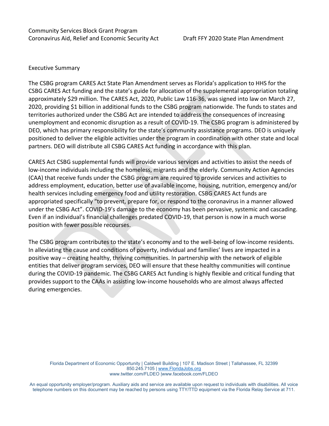#### Executive Summary

The CSBG program CARES Act State Plan Amendment serves as Florida's application to HHS for the CSBG CARES Act funding and the state's guide for allocation of the supplemental appropriation totaling approximately \$29 million. The CARES Act, 2020, Public Law 116‐36, was signed into law on March 27, 2020, providing \$1 billion in additional funds to the CSBG program nationwide. The funds to states and territories authorized under the CSBG Act are intended to address the consequences of increasing unemployment and economic disruption as a result of COVID‐19. The CSBG program is administered by DEO, which has primary responsibility for the state's community assistance programs. DEO is uniquely positioned to deliver the eligible activities under the program in coordination with other state and local partners. DEO will distribute all CSBG CARES Act funding in accordance with this plan.

CARES Act CSBG supplemental funds will provide various services and activities to assist the needs of low‐income individuals including the homeless, migrants and the elderly. Community Action Agencies (CAA) that receive funds under the CSBG program are required to provide services and activities to address employment, education, better use of available income, housing, nutrition, emergency and/or health services including emergency food and utility restoration. CSBG CARES Act funds are appropriated specifically "to prevent, prepare for, or respond to the coronavirus in a manner allowed under the CSBG Act". COVID‐19's damage to the economy has been pervasive, systemic and cascading. Even if an individual's financial challenges predated COVID‐19, that person is now in a much worse position with fewer possible recourses.

The CSBG program contributes to the state's economy and to the well-being of low-income residents. In alleviating the cause and conditions of poverty, individual and families' lives are impacted in a positive way – creating healthy, thriving communities. In partnership with the network of eligible entities that deliver program services, DEO will ensure that these healthy communities will continue during the COVID‐19 pandemic. The CSBG CARES Act funding is highly flexible and critical funding that provides support to the CAAs in assisting low‐income households who are almost always affected during emergencies.

Florida Department of Economic Opportunity | Caldwell Building | 107 E. Madison Street | Tallahassee, FL 32399 850.245.7105 | www.FloridaJobs.org www.twitter.com/FLDEO |www.facebook.com/FLDEO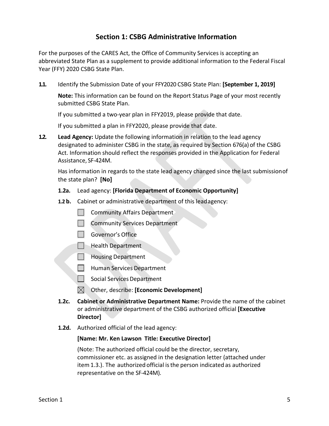### **Section 1: CSBG Administrative Information**

For the purposes of the CARES Act, the Office of Community Services is accepting an abbreviated State Plan as a supplement to provide additional information to the Federal Fiscal Year (FFY) 2020 CSBG State Plan.

**1.1.** Identify the Submission Date of your FFY2020 CSBG State Plan: **[September 1, 2019]** 

**Note:** This information can be found on the Report Status Page of your most recently submitted CSBG State Plan.

If you submitted a two-year plan in FFY2019, please provide that date.

If you submitted a plan in FFY2020, please provide that date.

**1.2. Lead Agency:** Update the following information in relation to the lead agency designated to administer CSBG in the state, as required by Section 676(a) of the CSBG Act. Information should reflect the responses provided in the Application for Federal Assistance, SF‐424M.

Has information in regards to the state lead agency changed since the last submission of the state plan? **[No]**

- **1.2a.**  Lead agency: **[Florida Department of Economic Opportunity]**
- **1.2 b.**  Cabinet or administrative department of this lead agency:
	- **Community Affairs Department**
	- **Community Services Department**
	- Governor's Office
	- **Health Department**
	- **Housing Department**
	- Human Services Department
	- $\Box$  Social Services Department
	- Other, describe: **[Economic Development]**
- **1.2c. Cabinet or Administrative Department Name:** Provide the name of the cabinet or administrative department of the CSBG authorized official **[Executive Director]**
- **1.2d.**  Authorized official of the lead agency:

#### **[Name: Mr. Ken Lawson Title: Executive Director]**

(Note: The authorized official could be the director, secretary, commissioner etc. as assigned in the designation letter (attached under item 1.3.). The authorized official is the person indicated as authorized representative on the SF‐424M).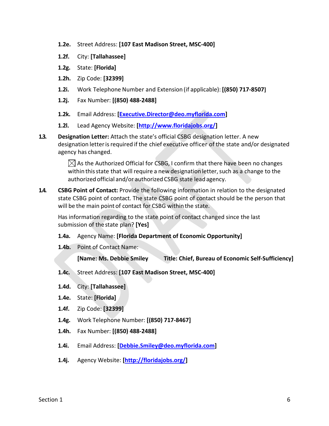- **1.2e.**  Street Address: **[107 East Madison Street, MSC‐400]**
- **1.2f.**  City: **[Tallahassee]**
- **1.2g.**  State: **[Florida]**
- **1.2h.**  Zip Code: **[32399]**
- **1.2i.**  Work Telephone Number and Extension (if applicable): **[(850) 717‐8507]**
- **1.2j.**  Fax Number: **[(850) 488‐2488]**
- **1.2k.**  Email Address: **[Executive.Director@deo.myflorida.com]**
- **1.2l.**  Lead Agency Website: **[http://www.floridajobs.org/]**
- **1.3. Designation Letter:** Attach the state's official CSBG designation letter. A new designation letter is required if the chief executive officer of the state and/or designated agency has changed.

 $\boxtimes$  As the Authorized Official for CSBG, I confirm that there have been no changes within this state that will require a new designation letter, such as a change to the authorized official and/or authorized CSBG state lead agency.

**1.4. CSBG Point of Contact:** Provide the following information in relation to the designated state CSBG point of contact. The state CSBG point of contact should be the person that will be the main point of contact for CSBG within the state.

Has information regarding to the state point of contact changed since the last submission of the state plan? **[Yes]**

- **1.4a.**  Agency Name: **[Florida Department of Economic Opportunity]**
- **1.4b.**  Point of Contact Name:

 **[Name: Ms. Debbie Smiley Title: Chief, Bureau of Economic Self‐Sufficiency]** 

- **1.4c.**  Street Address: **[107 East Madison Street, MSC‐400]**
- **1.4d.**  City: **[Tallahassee]**
- **1.4e.**  State: **[Florida]**
- **1.4f.**  Zip Code: **[32399]**
- **1.4g.**  Work Telephone Number: **[(850) 717‐8467]**
- **1.4h.**  Fax Number: **[(850) 488‐2488]**
- **1.4i.**  Email Address: **[Debbie.Smiley@deo.myflorida.com]**
- **1.4j.**  Agency Website: **[http://floridajobs.org/]**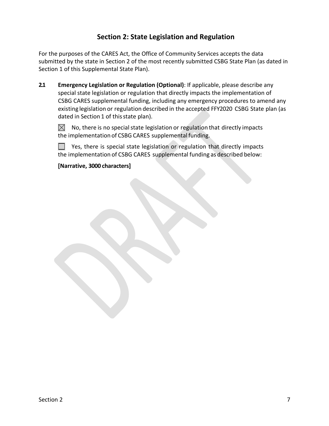## **Section 2: State Legislation and Regulation**

For the purposes of the CARES Act, the Office of Community Services accepts the data submitted by the state in Section 2 of the most recently submitted CSBG State Plan (as dated in Section 1 of this Supplemental State Plan).

**2.1 Emergency Legislation or Regulation (Optional)**: If applicable, please describe any special state legislation or regulation that directly impacts the implementation of CSBG CARES supplemental funding, including any emergency procedures to amend any existing legislation or regulation described in the accepted FFY2020 CSBG State plan (as dated in Section 1 of this state plan).

 $\bowtie$ No, there is no special state legislation or regulation that directly impacts the implementation of CSBG CARES supplemental funding.

 $\sim 10$ Yes, there is special state legislation or regulation that directly impacts the implementation of CSBG CARES supplemental funding as described below:

**[Narrative, 3000 characters]**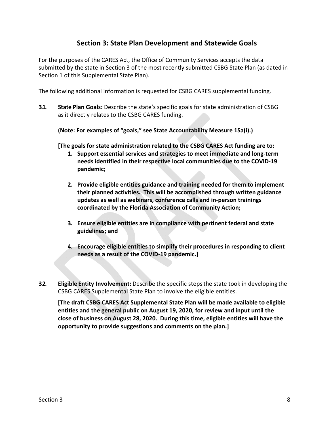### **Section 3: State Plan Development and Statewide Goals**

For the purposes of the CARES Act, the Office of Community Services accepts the data submitted by the state in Section 3 of the most recently submitted CSBG State Plan (as dated in Section 1 of this Supplemental State Plan).

The following additional information is requested for CSBG CARES supplemental funding.

**3.1. State Plan Goals:** Describe the state's specific goals for state administration of CSBG as it directly relates to the CSBG CARES funding.

**(Note: For examples of "goals," see State Accountability Measure 1Sa(i).)** 

**[The goals for state administration related to the CSBG CARES Act funding are to:** 

- **1. Support essential services and strategies to meet immediate and long‐term needs identified in their respective local communities due to the COVID‐19 pandemic;**
- **2. Provide eligible entities guidance and training needed for them to implement their planned activities. This will be accomplished through written guidance updates as well as webinars, conference calls and in‐person trainings coordinated by the Florida Association of Community Action;**
- **3. Ensure eligible entities are in compliance with pertinent federal and state guidelines; and**
- **4. Encourage eligible entities to simplify their procedures in responding to client needs as a result of the COVID‐19 pandemic.]**
- **3.2. Eligible Entity Involvement:** Describe the specific steps the state took in developing the CSBG CARES Supplemental State Plan to involve the eligible entities.

**[The draft CSBG CARES Act Supplemental State Plan will be made available to eligible entities and the general public on August 19, 2020, for review and input until the close of business on August 28, 2020. During this time, eligible entities will have the opportunity to provide suggestions and comments on the plan.]**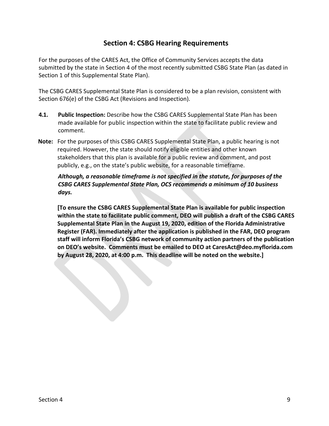## **Section 4: CSBG Hearing Requirements**

For the purposes of the CARES Act, the Office of Community Services accepts the data submitted by the state in Section 4 of the most recently submitted CSBG State Plan (as dated in Section 1 of this Supplemental State Plan).

The CSBG CARES Supplemental State Plan is considered to be a plan revision, consistent with Section 676(e) of the CSBG Act (Revisions and Inspection).

- **4.1. Public Inspection:** Describe how the CSBG CARES Supplemental State Plan has been made available for public inspection within the state to facilitate public review and comment.
- Note: For the purposes of this CSBG CARES Supplemental State Plan, a public hearing is not required. However, the state should notify eligible entities and other known stakeholders that this plan is available for a public review and comment, and post publicly, e.g., on the state's public website, for a reasonable timeframe.

#### *Although, a reasonable timeframe is not specified in the statute, for purposes of the CSBG CARES Supplemental State Plan, OCS recommends a minimum of 10 business days.*

**[To ensure the CSBG CARES Supplemental State Plan is available for public inspection within the state to facilitate public comment, DEO will publish a draft of the CSBG CARES Supplemental State Plan in the August 19, 2020, edition of the Florida Administrative Register (FAR). Immediately after the application is published in the FAR, DEO program staff will inform Florida's CSBG network of community action partners of the publication on DEO's website. Comments must be emailed to DEO at CaresAct@deo.myflorida.com by August 28, 2020, at 4:00 p.m. This deadline will be noted on the website.]**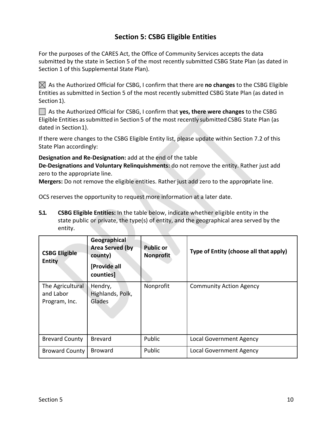## **Section 5: CSBG Eligible Entities**

For the purposes of the CARES Act, the Office of Community Services accepts the data submitted by the state in Section 5 of the most recently submitted CSBG State Plan (as dated in Section 1 of this Supplemental State Plan).

 $\boxtimes$  As the Authorized Official for CSBG, I confirm that there are **no changes** to the CSBG Eligible Entities as submitted in Section 5 of the most recently submitted CSBG State Plan (as dated in Section 1).

As the Authorized Official for CSBG, I confirm that **yes, there were changes** to the CSBG Eligible Entities as submitted in Section 5 of the most recently submitted CSBG State Plan (as dated in Section 1).

If there were changes to the CSBG Eligible Entity list, please update within Section 7.2 of this State Plan accordingly:

**Designation and Re‐Designation:** add at the end of the table

**De‐Designations and Voluntary Relinquishments:** do not remove the entity. Rather just add zero to the appropriate line.

**Mergers:** Do not remove the eligible entities. Rather just add zero to the appropriate line.

OCS reserves the opportunity to request more information at a later date.

**5.1. CSBG Eligible Entities:** In the table below, indicate whether eligible entity in the state public or private, the type(s) of entity, and the geographical area served by the entity.

| <b>CSBG Eligible</b><br><b>Entity</b>          | Geographical<br><b>Area Served (by</b><br>county)<br>[Provide all<br>counties] | <b>Public or</b><br><b>Nonprofit</b> | Type of Entity (choose all that apply) |
|------------------------------------------------|--------------------------------------------------------------------------------|--------------------------------------|----------------------------------------|
| The Agricultural<br>and Labor<br>Program, Inc. | Hendry,<br>Highlands, Polk,<br>Glades                                          | Nonprofit                            | <b>Community Action Agency</b>         |
| <b>Brevard County</b>                          | <b>Brevard</b>                                                                 | Public                               | <b>Local Government Agency</b>         |
| <b>Broward County</b>                          | <b>Broward</b>                                                                 | Public                               | <b>Local Government Agency</b>         |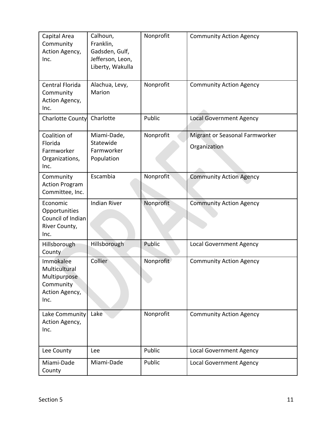| Capital Area<br>Community<br>Action Agency,<br>Inc.                               | Calhoun,<br>Franklin,<br>Gadsden, Gulf,<br>Jefferson, Leon,<br>Liberty, Wakulla | Nonprofit | <b>Community Action Agency</b>                 |
|-----------------------------------------------------------------------------------|---------------------------------------------------------------------------------|-----------|------------------------------------------------|
| Central Florida<br>Community<br>Action Agency,<br>Inc.                            | Alachua, Levy,<br>Marion                                                        | Nonprofit | <b>Community Action Agency</b>                 |
| <b>Charlotte County</b>                                                           | Charlotte                                                                       | Public    | <b>Local Government Agency</b>                 |
| Coalition of<br>Florida<br>Farmworker<br>Organizations,<br>Inc.                   | Miami-Dade,<br>Statewide<br>Farmworker<br>Population                            | Nonprofit | Migrant or Seasonal Farmworker<br>Organization |
| Community<br><b>Action Program</b><br>Committee, Inc.                             | Escambia                                                                        | Nonprofit | <b>Community Action Agency</b>                 |
| Economic<br>Opportunities<br>Council of Indian<br>River County,<br>Inc.           | <b>Indian River</b>                                                             | Nonprofit | <b>Community Action Agency</b>                 |
| Hillsborough<br>County                                                            | Hillsborough                                                                    | Public    | Local Government Agency                        |
| Immokalee<br>Multicultural<br>Multipurpose<br>Community<br>Action Agency,<br>Inc. | Collier                                                                         | Nonprofit | <b>Community Action Agency</b>                 |
| Lake Community<br>Action Agency,<br>Inc.                                          | Lake                                                                            | Nonprofit | <b>Community Action Agency</b>                 |
| Lee County                                                                        | Lee                                                                             | Public    | <b>Local Government Agency</b>                 |
| Miami-Dade<br>County                                                              | Miami-Dade                                                                      | Public    | <b>Local Government Agency</b>                 |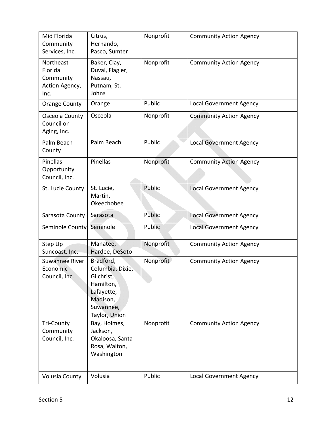| Mid Florida<br>Community<br>Services, Inc.                  | Citrus,<br>Hernando,<br>Pasco, Sumter                                                                            | Nonprofit | <b>Community Action Agency</b> |
|-------------------------------------------------------------|------------------------------------------------------------------------------------------------------------------|-----------|--------------------------------|
| Northeast<br>Florida<br>Community<br>Action Agency,<br>Inc. | Baker, Clay,<br>Duval, Flagler,<br>Nassau,<br>Putnam, St.<br>Johns                                               | Nonprofit | <b>Community Action Agency</b> |
| <b>Orange County</b>                                        | Orange                                                                                                           | Public    | <b>Local Government Agency</b> |
| Osceola County<br>Council on<br>Aging, Inc.                 | Osceola                                                                                                          | Nonprofit | <b>Community Action Agency</b> |
| Palm Beach<br>County                                        | Palm Beach                                                                                                       | Public    | <b>Local Government Agency</b> |
| Pinellas<br>Opportunity<br>Council, Inc.                    | Pinellas                                                                                                         | Nonprofit | <b>Community Action Agency</b> |
| St. Lucie County                                            | St. Lucie,<br>Martin,<br>Okeechobee                                                                              | Public    | <b>Local Government Agency</b> |
| Sarasota County                                             | Sarasota                                                                                                         | Public    | <b>Local Government Agency</b> |
| Seminole County                                             | Seminole                                                                                                         | Public    | <b>Local Government Agency</b> |
| Step Up<br>Suncoast. Inc.                                   | Manatee,<br>Hardee, DeSoto                                                                                       | Nonprofit | <b>Community Action Agency</b> |
| <b>Suwannee River</b><br>Economic<br>Council, Inc.          | Bradford,<br>Columbia, Dixie,<br>Gilchrist,<br>Hamilton,<br>Lafayette,<br>Madison,<br>Suwannee,<br>Taylor, Union | Nonprofit | <b>Community Action Agency</b> |
| <b>Tri-County</b><br>Community<br>Council, Inc.             | Bay, Holmes,<br>Jackson,<br>Okaloosa, Santa<br>Rosa, Walton,<br>Washington                                       | Nonprofit | <b>Community Action Agency</b> |
| <b>Volusia County</b>                                       | Volusia                                                                                                          | Public    | <b>Local Government Agency</b> |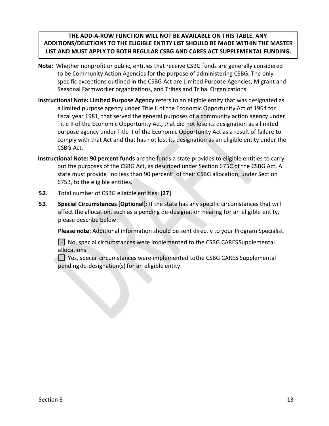#### **THE ADD‐A‐ROW FUNCTION WILL NOT BE AVAILABLE ON THIS TABLE. ANY ADDITIONS/DELETIONS TO THE ELIGIBLE ENTITY LIST SHOULD BE MADE WITHIN THE MASTER LIST AND MUST APPLY TO BOTH REGULAR CSBG AND CARES ACT SUPPLEMENTAL FUNDING.**

- **Note:** Whether nonprofit or public, entities that receive CSBG funds are generally considered to be Community Action Agencies for the purpose of administering CSBG. The only specific exceptions outlined in the CSBG Act are Limited Purpose Agencies, Migrant and Seasonal Farmworker organizations, and Tribes and Tribal Organizations.
- **Instructional Note: Limited Purpose Agency** refers to an eligible entity that was designated as a limited purpose agency under Title II of the Economic Opportunity Act of 1964 for fiscal year 1981, that served the general purposes of a community action agency under Title II of the Economic Opportunity Act, that did not lose its designation as a limited purpose agency under Title II of the Economic Opportunity Act as a result of failure to comply with that Act and that has not lost its designation as an eligible entity under the CSBG Act.
- **Instructional Note: 90 percent funds** are the funds a state provides to eligible entities to carry out the purposes of the CSBG Act, as described under Section 675C of the CSBG Act. A state must provide "no less than 90 percent" of their CSBG allocation, under Section 675B, to the eligible entities.
- **5.2.** Total number of CSBG eligible entities: **[27]**
- **5.3. Special Circumstances [Optional]:** If the state has any specific circumstances that will affect the allocation, such as a pending de‐designation hearing for an eligible entity, please describe below:

**Please note:** Additional information should be sent directly to your Program Specialist.

 $\boxtimes$  No, special circumstances were implemented to the CSBG CARES Supplemental allocations.

 $\Box$  Yes, special circumstances were implemented to the CSBG CARES Supplemental pending de‐designation(s) for an eligible entity.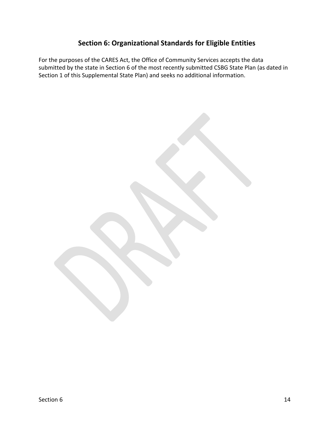## **Section 6: Organizational Standards for Eligible Entities**

For the purposes of the CARES Act, the Office of Community Services accepts the data submitted by the state in Section 6 of the most recently submitted CSBG State Plan (as dated in Section 1 of this Supplemental State Plan) and seeks no additional information.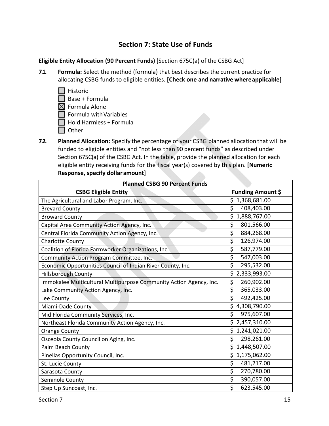## **Section 7: State Use of Funds**

**Eligible Entity Allocation (90 Percent Funds)** [Section 675C(a) of the CSBG Act]

- **7.1. Formula:** Select the method (formula) that best describes the current practice for allocating CSBG funds to eligible entities. **[Check one and narrative where applicable]** 
	- $\Box$  Historic Base + Formula  $\boxtimes$  Formula Alone Formula with Variables  $\Box$  Hold Harmless + Formula  $\Box$  Other
- **7.2. Planned Allocation:** Specify the percentage of your CSBG planned allocation that will be funded to eligible entities and "not less than 90 percent funds" as described under Section 675C(a) of the CSBG Act. In the table, provide the planned allocation for each eligible entity receiving funds for the fiscal year(s) covered by this plan. **[Numeric Response, specify dollar amount]**

| <b>Planned CSBG 90 Percent Funds</b>                               |                                        |
|--------------------------------------------------------------------|----------------------------------------|
| <b>CSBG Eligible Entity</b>                                        | <b>Funding Amount \$</b>               |
| The Agricultural and Labor Program, Inc.                           | \$1,368,681.00                         |
| <b>Brevard County</b>                                              | Ś<br>408,403.00                        |
| <b>Broward County</b>                                              | \$1,888,767.00                         |
| Capital Area Community Action Agency, Inc.                         | \$<br>801,566.00                       |
| Central Florida Community Action Agency, Inc.                      | \$<br>884,268.00                       |
| <b>Charlotte County</b>                                            | $\overline{\xi}$<br>126,974.00         |
| Coalition of Florida Farmworker Organizations, Inc.                | \$<br>587,779.00                       |
| Community Action Program Committee, Inc.                           | \$<br>547,003.00                       |
| Economic Opportunities Council of Indian River County, Inc.        | \$<br>295,532.00                       |
| <b>Hillsborough County</b>                                         | \$2,333,993.00                         |
| Immokalee Multicultural Multipurpose Community Action Agency, Inc. | \$<br>260,902.00                       |
| Lake Community Action Agency, Inc.                                 | \$<br>365,033.00                       |
| Lee County                                                         | \$<br>492,425.00                       |
| Miami-Dade County                                                  | \$4,308,790.00                         |
| Mid Florida Community Services, Inc.                               | \$<br>975,607.00                       |
| Northeast Florida Community Action Agency, Inc.                    | \$2,457,310.00                         |
| <b>Orange County</b>                                               | \$1,241,021.00                         |
| Osceola County Council on Aging, Inc.                              | \$<br>298,261.00                       |
| Palm Beach County                                                  | \$1,448,507.00                         |
| Pinellas Opportunity Council, Inc.                                 | \$1,175,062.00                         |
| St. Lucie County                                                   | $\overline{\mathcal{S}}$<br>481,217.00 |
| Sarasota County                                                    | \$<br>270,780.00                       |
| Seminole County                                                    | \$<br>390,057.00                       |
| Step Up Suncoast, Inc.                                             | \$<br>623,545.00                       |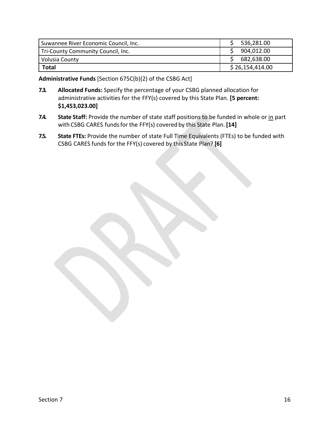| Suwannee River Economic Council, Inc. | 536,281.00      |
|---------------------------------------|-----------------|
| Tri-County Community Council, Inc.    | 904,012.00      |
| Volusia County                        | 682,638.00      |
| <b>Total</b>                          | \$26,154,414.00 |

**Administrative Funds** [Section 675C(b)(2) of the CSBG Act]

- **7.3. Allocated Funds:** Specify the percentage of your CSBG planned allocation for administrative activities for the FFY(s) covered by this State Plan. **[5 percent: \$1,453,023.00]**
- **7.4.** State Staff: Provide the number of state staff positions to be funded in whole or in part with CSBG CARES funds for the FFY(s) covered by this State Plan. **[14]**
- **7.5. State FTEs:** Provide the number of state Full Time Equivalents (FTEs) to be funded with CSBG CARES funds for the FFY(s) covered by this State Plan? **[6]**

 $Section 7$  and  $16$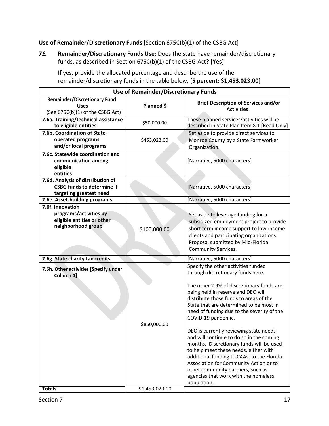### **Use of Remainder/Discretionary Funds** [Section 675C(b)(1) of the CSBG Act]

**7.6. Remainder/Discretionary Funds Use:** Does the state have remainder/discretionary funds, as described in Section 675C(b)(1) of the CSBG Act? **[Yes]**

| If yes, provide the allocated percentage and describe the use of the          |
|-------------------------------------------------------------------------------|
| remainder/discretionary funds in the table below. [5 percent: \$1,453,023.00] |

| <b>Use of Remainder/Discretionary Funds</b>                                                       |                |                                                                                                                                                                                                                                                                                                                                                                                                                                                                                                                                                                                                                                                                                     |  |  |
|---------------------------------------------------------------------------------------------------|----------------|-------------------------------------------------------------------------------------------------------------------------------------------------------------------------------------------------------------------------------------------------------------------------------------------------------------------------------------------------------------------------------------------------------------------------------------------------------------------------------------------------------------------------------------------------------------------------------------------------------------------------------------------------------------------------------------|--|--|
| <b>Remainder/Discretionary Fund</b><br><b>Uses</b><br>(See 675C(b)(1) of the CSBG Act)            | Planned \$     | <b>Brief Description of Services and/or</b><br><b>Activities</b>                                                                                                                                                                                                                                                                                                                                                                                                                                                                                                                                                                                                                    |  |  |
| 7.6a. Training/technical assistance<br>to eligible entities                                       | \$50,000.00    | These planned services/activities will be<br>described in State Plan Item 8.1 [Read Only]                                                                                                                                                                                                                                                                                                                                                                                                                                                                                                                                                                                           |  |  |
| 7.6b. Coordination of State-<br>operated programs<br>and/or local programs                        | \$453,023.00   | Set aside to provide direct services to<br>Monroe County by a State Farmworker<br>Organization.                                                                                                                                                                                                                                                                                                                                                                                                                                                                                                                                                                                     |  |  |
| 7.6c. Statewide coordination and<br>communication among<br>eligible<br>entities                   |                | [Narrative, 5000 characters]                                                                                                                                                                                                                                                                                                                                                                                                                                                                                                                                                                                                                                                        |  |  |
| 7.6d. Analysis of distribution of<br><b>CSBG funds to determine if</b><br>targeting greatest need |                | [Narrative, 5000 characters]                                                                                                                                                                                                                                                                                                                                                                                                                                                                                                                                                                                                                                                        |  |  |
| 7.6e. Asset-building programs                                                                     |                | [Narrative, 5000 characters]                                                                                                                                                                                                                                                                                                                                                                                                                                                                                                                                                                                                                                                        |  |  |
| 7.6f. Innovation<br>programs/activities by<br>eligible entities or other<br>neighborhood group    | \$100,000.00   | Set aside to leverage funding for a<br>subsidized employment project to provide<br>short term income support to low-income<br>clients and participating organizations.<br>Proposal submitted by Mid-Florida<br><b>Community Services.</b>                                                                                                                                                                                                                                                                                                                                                                                                                                           |  |  |
| 7.6g. State charity tax credits                                                                   |                | [Narrative, 5000 characters]                                                                                                                                                                                                                                                                                                                                                                                                                                                                                                                                                                                                                                                        |  |  |
| 7.6h. Other activities [Specify under<br>Column 4]                                                | \$850,000.00   | Specify the other activities funded<br>through discretionary funds here.<br>The other 2.9% of discretionary funds are<br>being held in reserve and DEO will<br>distribute those funds to areas of the<br>State that are determined to be most in<br>need of funding due to the severity of the<br>COVID-19 pandemic.<br>DEO is currently reviewing state needs<br>and will continue to do so in the coming<br>months. Discretionary funds will be used<br>to help meet these needs, either with<br>additional funding to CAAs, to the Florida<br>Association for Community Action or to<br>other community partners, such as<br>agencies that work with the homeless<br>population. |  |  |
| <b>Totals</b>                                                                                     | \$1,453,023.00 |                                                                                                                                                                                                                                                                                                                                                                                                                                                                                                                                                                                                                                                                                     |  |  |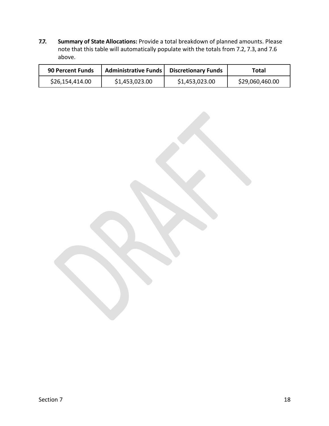**7.7. Summary of State Allocations:** Provide a total breakdown of planned amounts. Please note that this table will automatically populate with the totals from 7.2, 7.3, and 7.6 above.

| <b>90 Percent Funds</b> | Administrative Funds   Discretionary Funds |                | Total           |
|-------------------------|--------------------------------------------|----------------|-----------------|
| \$26,154,414.00         | \$1,453,023.00                             | \$1,453,023.00 | \$29,060,460.00 |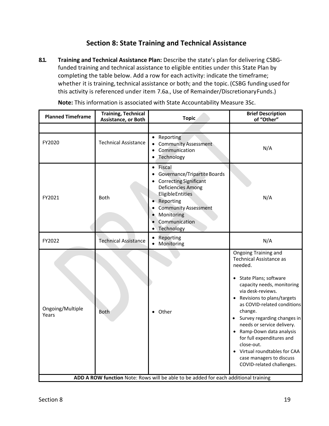## **Section 8: State Training and Technical Assistance**

**8.1. Training and Technical Assistance Plan:** Describe the state's plan for delivering CSBG‐ funded training and technical assistance to eligible entities under this State Plan by completing the table below. Add a row for each activity: indicate the timeframe; whether it is training, technical assistance or both; and the topic. (CSBG funding used for this activity is referenced under item 7.6a., Use of Remainder/Discretionary Funds.)

| <b>Planned Timeframe</b>                                                            | <b>Training, Technical</b><br>Assistance, or Both | <b>Topic</b>                                                                                                                                                                                                                                                                        | <b>Brief Description</b><br>of "Other"                                                                                                                                                                                                                                                                                                                                                                                                                            |
|-------------------------------------------------------------------------------------|---------------------------------------------------|-------------------------------------------------------------------------------------------------------------------------------------------------------------------------------------------------------------------------------------------------------------------------------------|-------------------------------------------------------------------------------------------------------------------------------------------------------------------------------------------------------------------------------------------------------------------------------------------------------------------------------------------------------------------------------------------------------------------------------------------------------------------|
|                                                                                     |                                                   |                                                                                                                                                                                                                                                                                     |                                                                                                                                                                                                                                                                                                                                                                                                                                                                   |
| FY2020                                                                              | <b>Technical Assistance</b>                       | • Reporting<br><b>Community Assessment</b><br>Communication<br>$\bullet$<br>Technology                                                                                                                                                                                              | N/A                                                                                                                                                                                                                                                                                                                                                                                                                                                               |
| FY2021                                                                              | <b>Both</b>                                       | Fiscal<br>$\bullet$<br>Governance/Tripartite Boards<br>$\bullet$<br><b>Correcting Significant</b><br>Deficiencies Among<br><b>Eligible Entities</b><br>Reporting<br>$\bullet$<br><b>Community Assessment</b><br>$\bullet$<br>Monitoring<br>$\bullet$<br>Communication<br>Technology | N/A                                                                                                                                                                                                                                                                                                                                                                                                                                                               |
| FY2022                                                                              | <b>Technical Assistance</b>                       | Reporting<br>٠<br>Monitoring                                                                                                                                                                                                                                                        | N/A                                                                                                                                                                                                                                                                                                                                                                                                                                                               |
| Ongoing/Multiple<br>Years                                                           | <b>Both</b>                                       | Other                                                                                                                                                                                                                                                                               | Ongoing Training and<br><b>Technical Assistance as</b><br>needed.<br>• State Plans; software<br>capacity needs, monitoring<br>via desk-reviews.<br>• Revisions to plans/targets<br>as COVID-related conditions<br>change.<br>Survey regarding changes in<br>$\bullet$<br>needs or service delivery.<br>Ramp-Down data analysis<br>for full expenditures and<br>close-out.<br>Virtual roundtables for CAA<br>case managers to discuss<br>COVID-related challenges. |
| ADD A ROW function Note: Rows will be able to be added for each additional training |                                                   |                                                                                                                                                                                                                                                                                     |                                                                                                                                                                                                                                                                                                                                                                                                                                                                   |

**Note:** This information is associated with State Accountability Measure 3Sc.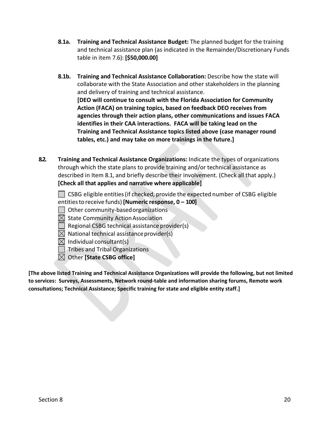- **8.1a. Training and Technical Assistance Budget:** The planned budget for the training and technical assistance plan (as indicated in the Remainder/Discretionary Funds table in item 7.6): **[\$50,000.00]**
- **8.1b. Training and Technical Assistance Collaboration:** Describe how the state will collaborate with the State Association and other stakeholders in the planning and delivery of training and technical assistance. **[DEO will continue to consult with the Florida Association for Community Action (FACA) on training topics, based on feedback DEO receives from agencies through their action plans, other communications and issues FACA identifies in their CAA interactions. FACA will be taking lead on the Training and Technical Assistance topics listed above (case manager round tables, etc.) and may take on more trainings in the future.]**
- **8.2. Training and Technical Assistance Organizations:** Indicate the types of organizations through which the state plans to provide training and/or technical assistance as described in Item 8.1, and briefly describe their involvement. (Check all that apply.) **[Check all that applies and narrative where applicable]**

 $\Box$  CSBG eligible entities (if checked, provide the expected number of CSBG eligible entities to receive funds) **[Numeric response, 0 – 100]** 

Other community‐based organizations

 $\boxtimes$  State Community Action Association

Regional CSBG technical assistance provider(s)

 $\boxtimes$  National technical assistance provider(s)

 $\boxtimes$  Individual consultant(s)

**Tribes and Tribal Organizations** 

Other **[State CSBG office]** 

**[The above listed Training and Technical Assistance Organizations will provide the following, but not limited to services: Surveys, Assessments, Network round‐table and information sharing forums, Remote work consultations; Technical Assistance; Specific training for state and eligible entity staff.]**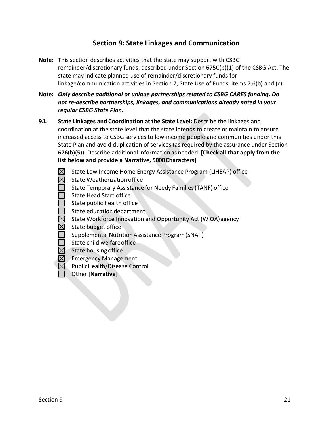## **Section 9: State Linkages and Communication**

- **Note:** This section describes activities that the state may support with CSBG remainder/discretionary funds, described under Section 675C(b)(1) of the CSBG Act. The state may indicate planned use of remainder/discretionary funds for linkage/communication activities in Section 7, State Use of Funds, items 7.6(b) and (c).
- **Note:** *Only describe additional or unique partnerships related to CSBG CARES funding. Do not re‐describe partnerships, linkages, and communications already noted in your regular CSBG State Plan.*
- **9.1. State Linkages and Coordination at the State Level:** Describe the linkages and coordination at the state level that the state intends to create or maintain to ensure increased access to CSBG services to low‐income people and communities under this State Plan and avoid duplication of services (as required by the assurance under Section 676(b)(5)). Describe additional information as needed. **[Check all that apply from the list below and provide a Narrative, 5000 Characters]**
	- State Low Income Home Energy Assistance Program (LIHEAP) office  $\boxtimes$
	- $\boxtimes$ State Weatherization office
	- State Temporary Assistance for Needy Families (TANF) office
	- State Head Start office
	- State public health office
	- State education department
	- $\boxtimes$ State Workforce Innovation and Opportunity Act (WIOA) agency
	- $\boxtimes$ State budget office
		- Supplemental Nutrition Assistance Program (SNAP)
		- State child welfare office
	- $\boxtimes$ State housing office
	- Emergency Management
	- Public Health/Disease Control
	- Other **[Narrative]**

the contract of the contract of the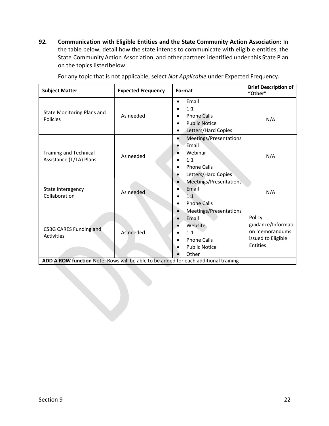**9.2. Communication with Eligible Entities and the State Community Action Association:** In the table below, detail how the state intends to communicate with eligible entities, the State Community Action Association, and other partners identified under this State Plan on the topics listed below.

| <b>Subject Matter</b>                                                                                                                     | <b>Expected Frequency</b> | Format                                                                                                                                     | <b>Brief Description of</b><br>"Other"                                            |
|-------------------------------------------------------------------------------------------------------------------------------------------|---------------------------|--------------------------------------------------------------------------------------------------------------------------------------------|-----------------------------------------------------------------------------------|
| <b>State Monitoring Plans and</b><br>Policies                                                                                             | As needed                 | Email<br>$\bullet$<br>1:1<br>٠<br><b>Phone Calls</b><br>$\bullet$<br><b>Public Notice</b><br>$\bullet$<br>Letters/Hard Copies<br>$\bullet$ | N/A                                                                               |
| <b>Training and Technical</b><br>Assistance (T/TA) Plans                                                                                  | As needed                 | Meetings/Presentations<br>Email<br>Webinar<br>1:1<br><b>Phone Calls</b><br>Letters/Hard Copies<br>$\bullet$                                | N/A                                                                               |
| State Interagency<br>Collaboration                                                                                                        | As needed                 | Meetings/Presentations<br>$\bullet$<br>Email<br>1:1<br><b>Phone Calls</b><br>$\bullet$                                                     | N/A                                                                               |
| <b>CSBG CARES Funding and</b><br><b>Activities</b><br>ADD A ROW function Note: Rows will be able to be added for each additional training | As needed                 | Meetings/Presentations<br>$\bullet$<br>Email<br>Website<br>1:1<br><b>Phone Calls</b><br><b>Public Notice</b><br>Other                      | Policy<br>guidance/Informati<br>on memorandums<br>issued to Eligible<br>Entities. |

For any topic that is not applicable, select *Not Applicable* under Expected Frequency.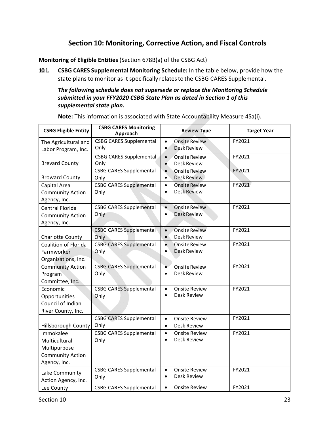## **Section 10: Monitoring, Corrective Action, and Fiscal Controls**

**Monitoring of Eligible Entities** (Section 678B(a) of the CSBG Act)

**10.1. CSBG CARES Supplemental Monitoring Schedule:** In the table below, provide how the state plans to monitor as it specifically relates to the CSBG CARES Supplemental.

#### *The following schedule does not supersede or replace the Monitoring Schedule submitted in your FFY2020 CSBG State Plan as dated in Section 1 of this supplemental state plan.*

**Note:** This information is associated with State Accountability Measure 4Sa(i).

| <b>CSBG Eligible Entity</b>                                                           | <b>CSBG CARES Monitoring</b><br>Approach | <b>Review Type</b>                                                   | <b>Target Year</b> |
|---------------------------------------------------------------------------------------|------------------------------------------|----------------------------------------------------------------------|--------------------|
| The Agricultural and<br>Labor Program, Inc.                                           | <b>CSBG CARES Supplemental</b><br>Only   | <b>Onsite Review</b><br>$\bullet$<br><b>Desk Review</b><br>$\bullet$ | FY2021             |
| <b>Brevard County</b>                                                                 | <b>CSBG CARES Supplemental</b><br>Only   | $\bullet$<br><b>Onsite Review</b><br>Desk Review<br>$\bullet$        | FY2021             |
| <b>Broward County</b>                                                                 | <b>CSBG CARES Supplemental</b><br>Only   | $\bullet$<br>Onsite Review<br><b>Desk Review</b><br>$\bullet$        | FY2021             |
| Capital Area<br><b>Community Action</b><br>Agency, Inc.                               | <b>CSBG CARES Supplemental</b><br>Only   | <b>Onsite Review</b><br>$\bullet$<br><b>Desk Review</b><br>$\bullet$ | FY2021             |
| Central Florida<br><b>Community Action</b><br>Agency, Inc.                            | <b>CSBG CARES Supplemental</b><br>Only   | $\bullet$<br><b>Onsite Review</b><br><b>Desk Review</b><br>$\bullet$ | FY2021             |
| <b>Charlotte County</b>                                                               | <b>CSBG CARES Supplemental</b><br>Only   | $\bullet$<br><b>Onsite Review</b><br>Desk Review<br>$\bullet$        | FY2021             |
| Coalition of Florida<br>Farmworker<br>Organizations, Inc.                             | <b>CSBG CARES Supplemental</b><br>Only   | $\bullet$<br>Onsite Review<br><b>Desk Review</b><br>$\bullet$        | FY2021             |
| <b>Community Action</b><br>Program<br>Committee, Inc.                                 | <b>CSBG CARES Supplemental</b><br>Only   | $\bullet$<br>Onsite Review<br>Desk Review<br>$\bullet$               | FY2021             |
| Economic<br>Opportunities<br>Council of Indian<br>River County, Inc.                  | <b>CSBG CARES Supplemental</b><br>Only   | <b>Onsite Review</b><br>$\bullet$<br>Desk Review<br>$\bullet$        | FY2021             |
| Hillsborough County                                                                   | <b>CSBG CARES Supplemental</b><br>Only   | <b>Onsite Review</b><br>$\bullet$<br>Desk Review<br>$\bullet$        | FY2021             |
| Immokalee<br>Multicultural<br>Multipurpose<br><b>Community Action</b><br>Agency, Inc. | <b>CSBG CARES Supplemental</b><br>Only   | <b>Onsite Review</b><br>$\bullet$<br>Desk Review<br>$\bullet$        | FY2021             |
| Lake Community<br>Action Agency, Inc.                                                 | <b>CSBG CARES Supplemental</b><br>Only   | <b>Onsite Review</b><br>$\bullet$<br>Desk Review<br>$\bullet$        | FY2021             |
| Lee County                                                                            | <b>CSBG CARES Supplemental</b>           | <b>Onsite Review</b><br>$\bullet$                                    | FY2021             |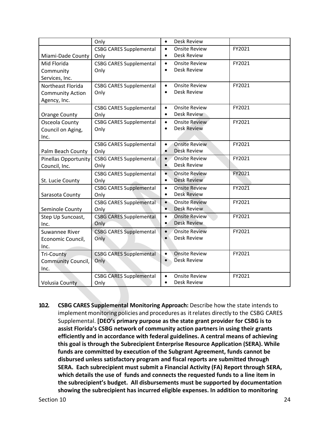|                             | Only                           | Desk Review<br>$\bullet$                                             |        |
|-----------------------------|--------------------------------|----------------------------------------------------------------------|--------|
|                             | <b>CSBG CARES Supplemental</b> | <b>Onsite Review</b><br>$\bullet$                                    | FY2021 |
| Miami-Dade County           | Only                           | Desk Review<br>$\bullet$                                             |        |
| Mid Florida                 | <b>CSBG CARES Supplemental</b> | <b>Onsite Review</b><br>$\bullet$                                    | FY2021 |
| Community                   | Only                           | Desk Review<br>$\bullet$                                             |        |
| Services, Inc.              |                                |                                                                      |        |
| Northeast Florida           | <b>CSBG CARES Supplemental</b> | <b>Onsite Review</b><br>$\bullet$                                    | FY2021 |
| <b>Community Action</b>     | Only                           | Desk Review<br>$\bullet$                                             |        |
| Agency, Inc.                |                                |                                                                      |        |
|                             | <b>CSBG CARES Supplemental</b> | <b>Onsite Review</b><br>$\bullet$                                    | FY2021 |
| Orange County               | Only                           | Desk Review<br>$\bullet$                                             |        |
| Osceola County              | <b>CSBG CARES Supplemental</b> | <b>Onsite Review</b><br>$\bullet$                                    | FY2021 |
| Council on Aging,           | Only                           | <b>Desk Review</b><br>$\bullet$                                      |        |
| Inc.                        |                                |                                                                      |        |
|                             | <b>CSBG CARES Supplemental</b> | <b>Onsite Review</b><br>$\bullet$                                    | FY2021 |
| Palm Beach County           | Only                           | <b>Desk Review</b><br>$\bullet$                                      |        |
| <b>Pinellas Opportunity</b> | <b>CSBG CARES Supplemental</b> | <b>Onsite Review</b><br>$\bullet$                                    | FY2021 |
| Council, Inc.               | Only                           | Desk Review<br>$\bullet$                                             |        |
|                             | <b>CSBG CARES Supplemental</b> | $\bullet$<br><b>Onsite Review</b>                                    | FY2021 |
| St. Lucie County            | Only                           | <b>Desk Review</b><br>$\bullet$                                      |        |
|                             | <b>CSBG CARES Supplemental</b> | <b>Onsite Review</b><br>$\bullet$                                    | FY2021 |
| Sarasota County             | Only                           | <b>Desk Review</b><br>$\bullet$                                      |        |
|                             | <b>CSBG CARES Supplemental</b> | $\bullet$<br><b>Onsite Review</b>                                    | FY2021 |
| Seminole County             | Only                           | <b>Desk Review</b><br>$\bullet$                                      |        |
| Step Up Suncoast,           | <b>CSBG CARES Supplemental</b> | <b>Onsite Review</b><br>$\bullet$<br><b>Desk Review</b><br>$\bullet$ | FY2021 |
| Inc.                        | Only                           |                                                                      |        |
| Suwannee River              | <b>CSBG CARES Supplemental</b> | <b>Onsite Review</b><br>$\bullet$<br><b>Desk Review</b><br>$\bullet$ | FY2021 |
| Economic Council,           | Only                           |                                                                      |        |
| Inc.                        |                                |                                                                      |        |
| <b>Tri-County</b>           | <b>CSBG CARES Supplemental</b> | <b>Onsite Review</b><br>$\bullet$<br><b>Desk Review</b><br>$\bullet$ | FY2021 |
| <b>Community Council,</b>   | Only                           |                                                                      |        |
| Inc.                        |                                |                                                                      |        |
|                             | <b>CSBG CARES Supplemental</b> | <b>Onsite Review</b><br>$\bullet$<br>Desk Review<br>$\bullet$        | FY2021 |
| <b>Volusia County</b>       | Only                           |                                                                      |        |

**10.2. CSBG CARES Supplemental Monitoring Approach:** Describe how the state intends to implement monitoring policies and procedures as it relates directly to the CSBG CARES Supplemental. **[DEO's primary purpose as the state grant provider for CSBG is to assist Florida's CSBG network of community action partners in using their grants efficiently and in accordance with federal guidelines. A central means of achieving this goal is through the Subrecipient Enterprise Resource Application (SERA). While funds are committed by execution of the Subgrant Agreement, funds cannot be disbursed unless satisfactory program and fiscal reports are submitted through SERA. Each subrecipient must submit a Financial Activity (FA) Report through SERA, which details the use of funds and connects the requested funds to a line item in the subrecipient's budget. All disbursements must be supported by documentation showing the subrecipient has incurred eligible expenses. In addition to monitoring**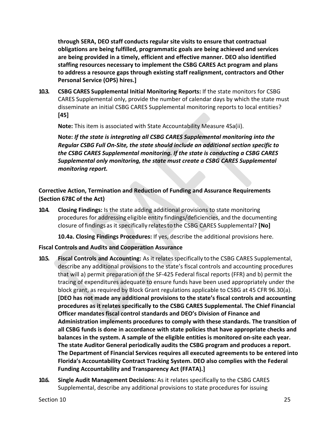**through SERA, DEO staff conducts regular site visits to ensure that contractual obligations are being fulfilled, programmatic goals are being achieved and services are being provided in a timely, efficient and effective manner. DEO also identified staffing resources necessary to implement the CSBG CARES Act program and plans to address a resource gaps through existing staff realignment, contractors and Other Personal Service (OPS) hires.]** 

**10.3. CSBG CARES Supplemental Initial Monitoring Reports:** If the state monitors for CSBG CARES Supplemental only, provide the number of calendar days by which the state must disseminate an initial CSBG CARES Supplemental monitoring reports to local entities? **[45]** 

**Note:** This item is associated with State Accountability Measure 4Sa(ii).

**Note:** *If the state is integrating all CSBG CARES Supplemental monitoring into the Regular CSBG Full On‐Site, the state should include an additional section specific to the CSBG CARES Supplemental monitoring. If the state is conducting a CSBG CARES Supplemental only monitoring, the state must create a CSBG CARES Supplemental monitoring report.* 

**Corrective Action, Termination and Reduction of Funding and Assurance Requirements (Section 678C of the Act)** 

**10.4. Closing Findings:** Is the state adding additional provisions to state monitoring procedures for addressing eligible entity findings/deficiencies, and the documenting closure of findings as it specifically relates to the CSBG CARES Supplemental? **[No]** 

**10.4a. Closing Findings Procedures:** If yes, describe the additional provisions here.

#### **Fiscal Controls and Audits and Cooperation Assurance**

- **10.5. Fiscal Controls and Accounting:** As it relates specifically to the CSBG CARES Supplemental, describe any additional provisions to the state's fiscal controls and accounting procedures that will a) permit preparation of the SF‐425 Federal fiscal reports (FFR) and b) permit the tracing of expenditures adequate to ensure funds have been used appropriately under the block grant, as required by Block Grant regulations applicable to CSBG at 45 CFR 96.30(a). **[DEO has not made any additional provisions to the state's fiscal controls and accounting procedures as it relates specifically to the CSBG CARES Supplemental. The Chief Financial Officer mandates fiscal control standards and DEO's Division of Finance and Administration implements procedures to comply with these standards. The transition of all CSBG funds is done in accordance with state policies that have appropriate checks and balances in the system. A sample of the eligible entities is monitored on‐site each year. The state Auditor General periodically audits the CSBG program and produces a report. The Department of Financial Services requires all executed agreements to be entered into Florida's Accountability Contract Tracking System. DEO also complies with the Federal Funding Accountability and Transparency Act (FFATA).]**
- **10.6. Single Audit Management Decisions:** As it relates specifically to the CSBG CARES Supplemental, describe any additional provisions to state procedures for issuing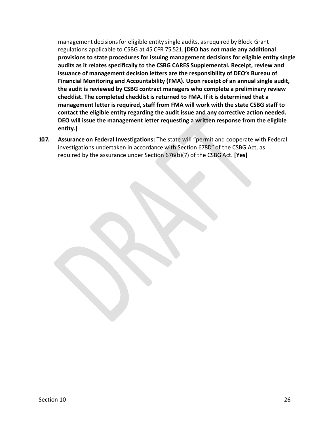management decisions for eligible entity single audits, as required by Block Grant regulations applicable to CSBG at 45 CFR 75.521. **[DEO has not made any additional provisions to state procedures for issuing management decisions for eligible entity single audits as it relates specifically to the CSBG CARES Supplemental. Receipt, review and issuance of management decision letters are the responsibility of DEO's Bureau of Financial Monitoring and Accountability (FMA). Upon receipt of an annual single audit, the audit is reviewed by CSBG contract managers who complete a preliminary review checklist. The completed checklist is returned to FMA. If it is determined that a management letter is required, staff from FMA will work with the state CSBG staff to contact the eligible entity regarding the audit issue and any corrective action needed. DEO will issue the management letter requesting a written response from the eligible entity.]** 

**10.7. Assurance on Federal Investigations:** The state will "permit and cooperate with Federal investigations undertaken in accordance with Section 678D" of the CSBG Act, as required by the assurance under Section 676(b)(7) of the CSBG Act. **[Yes]**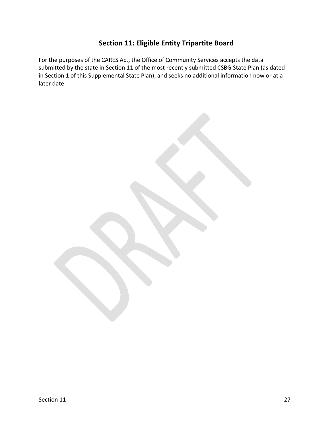## **Section 11: Eligible Entity Tripartite Board**

For the purposes of the CARES Act, the Office of Community Services accepts the data submitted by the state in Section 11 of the most recently submitted CSBG State Plan (as dated in Section 1 of this Supplemental State Plan), and seeks no additional information now or at a later date.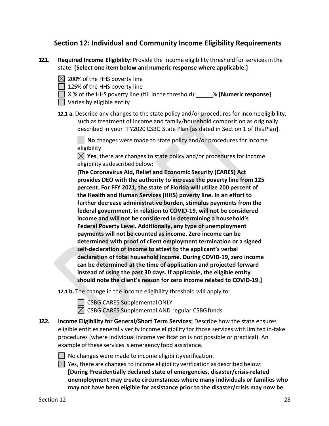## **Section 12: Individual and Community Income Eligibility Requirements**

- **12.1. Required Income Eligibility:** Provide the income eligibility threshold for services in the state. **[Select one item below and numeric response where applicable.]** 
	- $\boxtimes$  200% of the HHS poverty line

 $\Box$  125% of the HHS poverty line

X % of the HHS poverty line (fill in the threshold): % **[Numeric response]** 

- | Varies by eligible entity
- **12.1 a.** Describe any changes to the state policy and/or procedures for income eligibility, such as treatment of income and family/household composition as originally described in your FFY2020 CSBG State Plan [as dated in Section 1 of this Plan].

**No** changes were made to state policy and/or procedures for income eligibility

**Yes**, there are changes to state policy and/or procedures for income eligibility as described below:

**[The Coronavirus Aid, Relief and Economic Security (CARES) Act provides DEO with the authority to increase the poverty line from 125 percent. For FFY 2021, the state of Florida will utilize 200 percent of the Health and Human Services (HHS) poverty line. In an effort to further decrease administrative burden, stimulus payments from the federal government, in relation to COVID‐19, will not be considered income and will not be considered in determining a household's Federal Poverty Level. Additionally, any type of unemployment payments will not be counted as income. Zero income can be determined with proof of client employment termination or a signed self‐declaration of income to attest to the applicant's verbal declaration of total household income. During COVID‐19, zero income can be determined at the time of application and projected forward instead of using the past 30 days. If applicable, the eligible entity should note the client's reason for zero income related to COVID‐19.]** 

**12.1 b.** The change in the income eligibility threshold will apply to:

 $\Box$  CSBG CARES Supplemental ONLY

 $\boxtimes$  CSBG CARES Supplemental AND regular CSBG funds

**12.2. Income Eligibility for General/Short Term Services:** Describe how the state ensures eligible entities generally verify income eligibility for those services with limited in‐take procedures (where individual income verification is not possible or practical). An example of these services is emergency food assistance.

 $\Box$  No changes were made to income eligibility verification.

 $\boxtimes$  Yes, there are changes to income eligibility verification as described below: **[During Presidentially declared state of emergencies, disaster/crisis‐related unemployment may create circumstances where many individuals or families who may not have been eligible for assistance prior to the disaster/crisis may now be**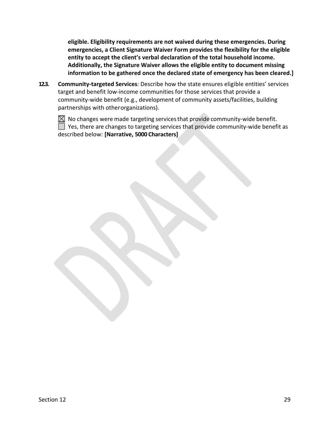**eligible. Eligibility requirements are not waived during these emergencies. During emergencies, a Client Signature Waiver Form provides the flexibility for the eligible entity to accept the client's verbal declaration of the total household income. Additionally, the Signature Waiver allows the eligible entity to document missing information to be gathered once the declared state of emergency has been cleared.]** 

**12.3. Community‐targeted Services**: Describe how the state ensures eligible entities' services target and benefit low‐income communities for those services that provide a community-wide benefit (e.g., development of community assets/facilities, building partnerships with other organizations).



 $\boxtimes$  No changes were made targeting services that provide community-wide benefit. Yes, there are changes to targeting services that provide community‐wide benefit as described below: **[Narrative, 5000 Characters]**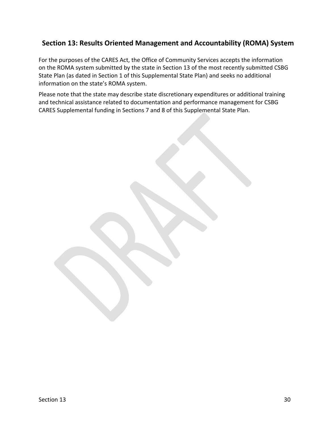## **Section 13: Results Oriented Management and Accountability (ROMA) System**

For the purposes of the CARES Act, the Office of Community Services accepts the information on the ROMA system submitted by the state in Section 13 of the most recently submitted CSBG State Plan (as dated in Section 1 of this Supplemental State Plan) and seeks no additional information on the state's ROMA system.

Please note that the state may describe state discretionary expenditures or additional training and technical assistance related to documentation and performance management for CSBG CARES Supplemental funding in Sections 7 and 8 of this Supplemental State Plan.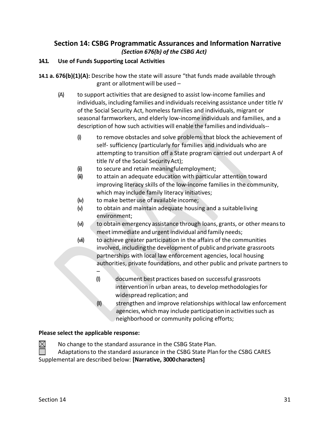## **Section 14: CSBG Programmatic Assurances and Information Narrative**  *(Section 676(b) of the CSBG Act)*

#### **14.1. Use of Funds Supporting Local Activities**

**14.1 a. 676(b)(1)(A):** Describe how the state will assure "that funds made available through grant or allotment will be used –

- (A) to support activities that are designed to assist low‐income families and individuals, including families and individuals receiving assistance under title IV of the Social Security Act, homeless families and individuals, migrant or seasonal farmworkers, and elderly low‐income individuals and families, and a description of how such activities will enable the families and individuals‐‐
	- (i) to remove obstacles and solve problems that block the achievement of self- sufficiency (particularly for families and individuals who are attempting to transition off a State program carried out underpart A of title IV of the Social Security Act);
	- (ii) to secure and retain meaningful employment;
	- (iii) to attain an adequate education with particular attention toward improving literacy skills of the low-income families in the community, which may include family literacy initiatives;
	- (iv) to make better use of available income;
	- (v) to obtain and maintain adequate housing and a suitable living environment;
	- (vi) to obtain emergency assistance through loans, grants, or other means to meet immediate and urgent individual and family needs;
	- (vii) to achieve greater participation in the affairs of the communities involved, including the development of public and private grassroots partnerships with local law enforcement agencies, local housing authorities, private foundations, and other public and private partners to
		- (I) document best practices based on successful grassroots intervention in urban areas, to develop methodologies for widespread replication; and
		- (II) strengthen and improve relationships with local law enforcement agencies, which may include participation in activities such as neighborhood or community policing efforts;

#### **Please select the applicable response:**

–

No change to the standard assurance in the CSBG State Plan.

Adaptations to the standard assurance in the CSBG State Plan for the CSBG CARES Supplemental are described below: **[Narrative, 3000 characters]** 

 $\boxtimes$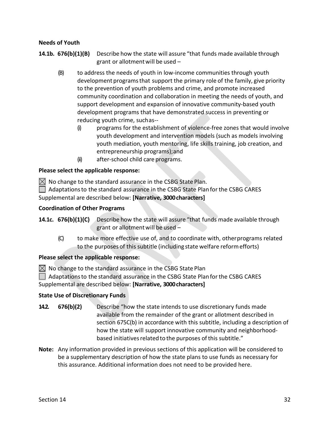#### **Needs of Youth**

**14.1b. 676(b)(1)(B)**  Describe how the state will assure "that funds made available through grant or allotment will be used –

- (B) to address the needs of youth in low‐income communities through youth development programs that support the primary role of the family, give priority to the prevention of youth problems and crime, and promote increased community coordination and collaboration in meeting the needs of youth, and support development and expansion of innovative community-based youth development programs that have demonstrated success in preventing or reducing youth crime, such as‐‐
	- (i) programs for the establishment of violence‐free zones that would involve youth development and intervention models (such as models involving youth mediation, youth mentoring, life skills training, job creation, and entrepreneurship programs); and
	- (ii) after‐school child care programs.

#### **Please select the applicable response:**

 $\boxtimes$  No change to the standard assurance in the CSBG State Plan.

 $\Box$  Adaptations to the standard assurance in the CSBG State Plan for the CSBG CARES Supplemental are described below: **[Narrative, 3000 characters]** 

#### **Coordination of Other Programs**

**14.1c. 676(b)(1)(C)** Describe how the state will assure "that funds made available through grant or allotment will be used –

(C) to make more effective use of, and to coordinate with, other programs related to the purposes of this subtitle (including state welfare reform efforts)

#### **Please select the applicable response:**

 $\boxtimes$  No change to the standard assurance in the CSBG State Plan

Adaptations to the standard assurance in the CSBG State Plan for the CSBG CARES Supplemental are described below: **[Narrative, 3000 characters]** 

#### **State Use of Discretionary Funds**

- **14.2. 676(b)(2)**  Describe "how the state intends to use discretionary funds made available from the remainder of the grant or allotment described in section 675C(b) in accordance with this subtitle, including a description of how the state will support innovative community and neighborhood‐ based initiatives related to the purposes of this subtitle."
- **Note:** Any information provided in previous sections of this application will be considered to be a supplementary description of how the state plans to use funds as necessary for this assurance. Additional information does not need to be provided here.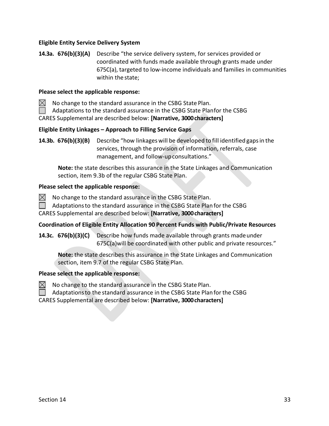#### **Eligible Entity Service Delivery System**

**14.3a. 676(b)(3)(A)**  Describe "the service delivery system, for services provided or coordinated with funds made available through grants made under 675C(a), targeted to low‐income individuals and families in communities within the state;

#### **Please select the applicable response:**

 $\bowtie$ No change to the standard assurance in the CSBG State Plan.

Adaptations to the standard assurance in the CSBG State Planfor the CSBG

CARES Supplemental are described below: **[Narrative, 3000 characters]** 

#### **Eligible Entity Linkages – Approach to Filling Service Gaps**

**14.3b. 676(b)(3)(B)**  Describe "how linkages will be developed to fill identified gaps in the services, through the provision of information, referrals, case management, and follow-up consultations."

**Note:** the state describes this assurance in the State Linkages and Communication section, item 9.3b of the regular CSBG State Plan.

#### **Please select the applicable response:**

 $\boxtimes$ No change to the standard assurance in the CSBG State Plan.

Adaptations to the standard assurance in the CSBG State Plan for the CSBG

CARES Supplemental are described below: **[Narrative, 3000 characters]** 

#### **Coordination of Eligible Entity Allocation 90 Percent Funds with Public/Private Resources**

**14.3c. 676(b)(3)(C)**  Describe how funds made available through grants made under 675C(a)will be coordinated with other public and private resources."

**Note:** the state describes this assurance in the State Linkages and Communication section, item 9.7 of the regular CSBG State Plan.

#### **Please select the applicable response:**



Adaptations to the standard assurance in the CSBG State Plan for the CSBG

CARES Supplemental are described below: **[Narrative, 3000 characters]** 

 $\bowtie$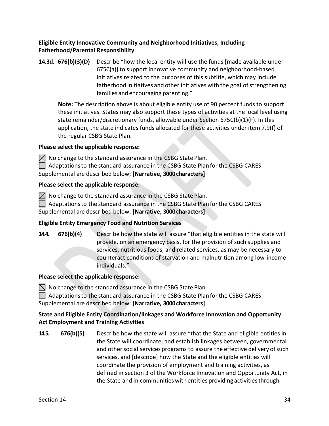#### **Eligible Entity Innovative Community and Neighborhood Initiatives, Including Fatherhood/Parental Responsibility**

**14.3d. 676(b)(3)(D)**  Describe "how the local entity will use the funds [made available under 675C(a)] to support innovative community and neighborhood‐based initiatives related to the purposes of this subtitle, which may include fatherhood initiatives and other initiatives with the goal of strengthening families and encouraging parenting."

**Note:** The description above is about eligible entity use of 90 percent funds to support these initiatives. States may also support these types of activities at the local level using state remainder/discretionary funds, allowable under Section 675C(b)(1)(F). In this application, the state indicates funds allocated for these activities under item 7.9(f) of the regular CSBG State Plan.

#### **Please select the applicable response:**

 $\boxtimes$  No change to the standard assurance in the CSBG State Plan.

Adaptations to the standard assurance in the CSBG State Plan for the CSBG CARES Supplemental are described below: **[Narrative, 3000 characters]** 

#### **Please select the applicable response:**

 $\boxtimes$  No change to the standard assurance in the CSBG State Plan.

 $\Box$  Adaptations to the standard assurance in the CSBG State Plan for the CSBG CARES Supplemental are described below: **[Narrative, 3000 characters]** 

#### **Eligible Entity Emergency Food and Nutrition Services**

**14.4. 676(b)(4)** Describe how the state will assure "that eligible entities in the state will provide, on an emergency basis, for the provision of such supplies and services, nutritious foods, and related services, as may be necessary to counteract conditions of starvation and malnutrition among low‐income individuals."

#### **Please select the applicable response:**

 $\boxtimes$  No change to the standard assurance in the CSBG State Plan.

 $\Box$  Adaptations to the standard assurance in the CSBG State Plan for the CSBG CARES Supplemental are described below: **[Narrative, 3000 characters]** 

#### **State and Eligible Entity Coordination/linkages and Workforce Innovation and Opportunity Act Employment and Training Activities**

**14.5. 676(b)(5)** Describe how the state will assure "that the State and eligible entities in the State will coordinate, and establish linkages between, governmental and other social services programs to assure the effective delivery of such services, and [describe] how the State and the eligible entities will coordinate the provision of employment and training activities, as defined in section 3 of the Workforce Innovation and Opportunity Act, in the State and in communities with entities providing activities through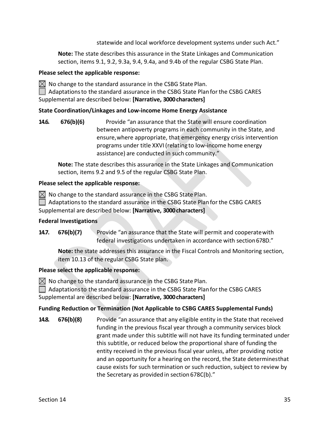statewide and local workforce development systems under such Act."

**Note:** The state describes this assurance in the State Linkages and Communication section, items 9.1, 9.2, 9.3a, 9.4, 9.4a, and 9.4b of the regular CSBG State Plan.

#### **Please select the applicable response:**

 $\bowtie$  No change to the standard assurance in the CSBG State Plan.

Adaptations to the standard assurance in the CSBG State Plan for the CSBG CARES Supplemental are described below: **[Narrative, 3000 characters]** 

#### **State Coordination/Linkages and Low‐income Home Energy Assistance**

**14.6. 676(b)(6)**  Provide "an assurance that the State will ensure coordination between antipoverty programs in each community in the State, and ensure, where appropriate, that emergency energy crisis intervention programs under title XXVI (relating to low‐income home energy assistance) are conducted in such community."

**Note:** The state describes this assurance in the State Linkages and Communication section, items 9.2 and 9.5 of the regular CSBG State Plan.

#### **Please select the applicable response:**

 $\boxtimes$  No change to the standard assurance in the CSBG State Plan.

Adaptations to the standard assurance in the CSBG State Plan for the CSBG CARES Supplemental are described below: **[Narrative, 3000 characters]** 

#### **Federal Investigations**

**14.7. 676(b)(7)**  Provide "an assurance that the State will permit and cooperate with federal investigations undertaken in accordance with section 678D."

**Note:** the state addresses this assurance in the Fiscal Controls and Monitoring section, item 10.13 of the regular CSBG State plan.

#### **Please select the applicable response:**

 $\boxtimes$  No change to the standard assurance in the CSBG State Plan.

Adaptations to the standard assurance in the CSBG State Plan for the CSBG CARES Supplemental are described below: **[Narrative, 3000 characters]** 

#### **Funding Reduction or Termination (Not Applicable to CSBG CARES Supplemental Funds)**

**14.8. 676(b)(8)** Provide "an assurance that any eligible entity in the State that received funding in the previous fiscal year through a community services block grant made under this subtitle will not have its funding terminated under this subtitle, or reduced below the proportional share of funding the entity received in the previous fiscal year unless, after providing notice and an opportunity for a hearing on the record, the State determines that cause exists for such termination or such reduction, subject to review by the Secretary as provided in section 678C(b)."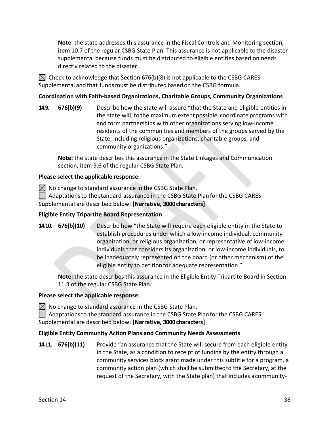**Note**: the state addresses this assurance in the Fiscal Controls and Monitoring section, item 10.7 of the regular CSBG State Plan. This assurance is not applicable to the disaster supplemental because funds must be distributed to eligible entities based on needs directly related to the disaster.

 $\boxtimes$  Check to acknowledge that Section 676(b)(8) is not applicable to the CSBG CARES Supplemental and that funds must be distributed based on the CSBG formula.

#### **Coordination with Faith‐based Organizations, Charitable Groups, Community Organizations**

**14.9. 676(b)(9)** Describe how the state will assure "that the State and eligible entities in the state will, to the maximum extent possible, coordinate programs with and form partnerships with other organizations serving low‐income residents of the communities and members of the groups served by the State, including religious organizations, charitable groups, and community organizations."

**Note:** the state describes this assurance in the State Linkages and Communication section, item 9.6 of the regular CSBG State Plan.

#### **Please select the applicable response:**

 $\boxtimes$  No change to standard assurance in the CSBG State Plan.

 $\Box$  Adaptations to the standard assurance in the CSBG State Plan for the CSBG CARES

Supplemental are described below: **[Narrative, 3000 characters]** 

#### **Eligible Entity Tripartite Board Representation**

**14.10. 676(b)(10)** Describe how "the State will require each eligible entity in the State to establish procedures under which a low‐income individual, community organization, or religious organization, or representative of low‐income individuals that considers its organization, or low‐income individuals, to be inadequately represented on the board (or other mechanism) of the eligible entity to petition for adequate representation."

**Note:** the state describes this assurance in the Eligible Entity Tripartite Board in Section 11.3 of the regular CSBG State Plan.

#### **Please select the applicable response:**

 $\boxtimes$  No change to standard assurance in the CSBG State Plan.

 $\Box$  Adaptations to the standard assurance in the CSBG State Plan for the CSBG CARES Supplemental are described below: **[Narrative, 3000 characters]** 

#### **Eligible Entity Community Action Plans and Community Needs Assessments**

**14.11. 676(b)(11)**  Provide "an assurance that the State will secure from each eligible entity in the State, as a condition to receipt of funding by the entity through a community services block grant made under this subtitle for a program, a community action plan (which shall be submitted to the Secretary, at the request of the Secretary, with the State plan) that includes a community‐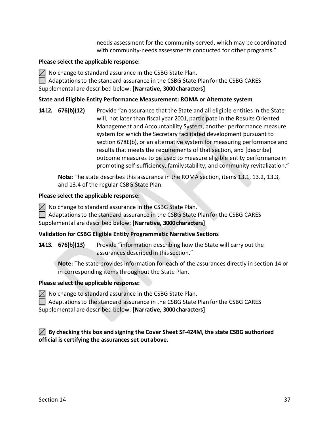needs assessment for the community served, which may be coordinated with community-needs assessments conducted for other programs."

#### **Please select the applicable response:**

 $\boxtimes$  No change to standard assurance in the CSBG State Plan.

 $\Box$  Adaptations to the standard assurance in the CSBG State Plan for the CSBG CARES Supplemental are described below: **[Narrative, 3000 characters]** 

#### **State and Eligible Entity Performance Measurement: ROMA or Alternate system**

**14.12. 676(b)(12)** Provide "an assurance that the State and all eligible entities in the State will, not later than fiscal year 2001, participate in the Results Oriented Management and Accountability System, another performance measure system for which the Secretary facilitated development pursuant to section 678E(b), or an alternative system for measuring performance and results that meets the requirements of that section, and [describe] outcome measures to be used to measure eligible entity performance in promoting self-sufficiency, family stability, and community revitalization."

**Note:** The state describes this assurance in the ROMA section, items 13.1, 13.2, 13.3, and 13.4 of the regular CSBG State Plan.

#### **Please select the applicable response:**

 $\boxtimes$  No change to standard assurance in the CSBG State Plan.

 $\Box$  Adaptations to the standard assurance in the CSBG State Plan for the CSBG CARES

Supplemental are described below: **[Narrative, 3000 characters]** 

#### **Validation for CSBG Eligible Entity Programmatic Narrative Sections**

**14.13. 676(b)(13)**  Provide "information describing how the State will carry out the assurances described in this section."

**Note:** The state provides information for each of the assurances directly in section 14 or in corresponding items throughout the State Plan.

#### **Please select the applicable response:**

 $\boxtimes$  No change to standard assurance in the CSBG State Plan.

Adaptations to the standard assurance in the CSBG State Plan for the CSBG CARES Supplemental are described below: **[Narrative, 3000 characters]** 

#### **By checking this box and signing the Cover Sheet SF‐424M, the state CSBG authorized official is certifying the assurances set out above.**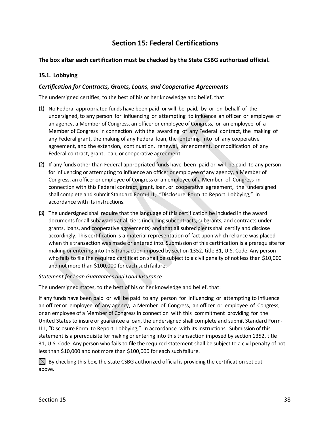## **Section 15: Federal Certifications**

#### **The box after each certification must be checked by the State CSBG authorized official.**

#### **15.1. Lobbying**

#### *Certification for Contracts, Grants, Loans, and Cooperative Agreements*

The undersigned certifies, to the best of his or her knowledge and belief, that:

- (1) No Federal appropriated funds have been paid or will be paid, by or on behalf of the undersigned, to any person for influencing or attempting to influence an officer or employee of an agency, a Member of Congress, an officer or employee of Congress, or an employee of a Member of Congress in connection with the awarding of any Federal contract, the making of any Federal grant, the making of any Federal loan, the entering into of any cooperative agreement, and the extension, continuation, renewal, amendment, or modification of any Federal contract, grant, loan, or cooperative agreement.
- (2) If any funds other than Federal appropriated funds have been paid or will be paid to any person for influencing or attempting to influence an officer or employee of any agency, a Member of Congress, an officer or employee of Congress or an employee of a Member of Congress in connection with this Federal contract, grant, loan, or cooperative agreement, the undersigned shall complete and submit Standard Form‐LLL, "Disclosure Form to Report Lobbying," in accordance with its instructions.
- (3) The undersigned shall require that the language of this certification be included in the award documents for all subawards at all tiers (including subcontracts, subgrants, and contracts under grants, loans, and cooperative agreements) and that all subrecipients shall certify and disclose accordingly. This certification is a material representation of fact upon which reliance was placed when this transaction was made or entered into. Submission of this certification is a prerequisite for making or entering into this transaction imposed by section 1352, title 31, U.S. Code. Any person who fails to file the required certification shall be subject to a civil penalty of not less than \$10,000 and not more than \$100,000 for each such failure.

#### *Statement for Loan Guarantees and Loan Insurance*

The undersigned states, to the best of his or her knowledge and belief, that:

If any funds have been paid or will be paid to any person for influencing or attempting to influence an officer or employee of any agency, a Member of Congress, an officer or employee of Congress, or an employee of a Member of Congress in connection with this commitment providing for the United States to insure or guarantee a loan, the undersigned shall complete and submit Standard Form‐ LLL, "Disclosure Form to Report Lobbying," in accordance with its instructions. Submission of this statement is a prerequisite for making or entering into this transaction imposed by section 1352, title 31, U.S. Code. Any person who fails to file the required statement shall be subject to a civil penalty of not less than \$10,000 and not more than \$100,000 for each such failure.

 $\boxtimes$  By checking this box, the state CSBG authorized official is providing the certification set out above.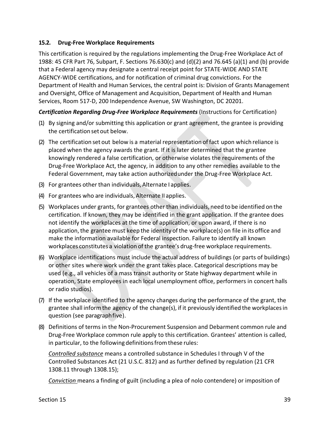#### **15.2. Drug‐Free Workplace Requirements**

This certification is required by the regulations implementing the Drug-Free Workplace Act of 1988: 45 CFR Part 76, Subpart, F. Sections 76.630(c) and (d)(2) and 76.645 (a)(1) and (b) provide that a Federal agency may designate a central receipt point for STATE‐WIDE AND STATE AGENCY‐WIDE certifications, and for notification of criminal drug convictions. For the Department of Health and Human Services, the central point is: Division of Grants Management and Oversight, Office of Management and Acquisition, Department of Health and Human Services, Room 517‐D, 200 Independence Avenue, SW Washington, DC 20201.

#### *Certification Regarding Drug‐Free Workplace Requirements* (Instructions for Certification)

- (1) By signing and/or submitting this application or grant agreement, the grantee is providing the certification set out below.
- (2) The certification set out below is a material representation of fact upon which reliance is placed when the agency awards the grant. If it is later determined that the grantee knowingly rendered a false certification, or otherwise violates the requirements of the Drug‐Free Workplace Act, the agency, in addition to any other remedies available to the Federal Government, may take action authorized under the Drug-Free Workplace Act.
- (3) For grantees other than individuals, Alternate I applies.
- (4) For grantees who are individuals, Alternate II applies.
- (5) Workplaces under grants, for grantees other than individuals, need to be identified on the certification. If known, they may be identified in the grant application. If the grantee does not identify the workplaces at the time of application, or upon award, if there is no application, the grantee must keep the identity of the workplace(s) on file in its office and make the information available for Federal inspection. Failure to identify all known workplaces constitutes a violation of the grantee's drug‐free workplace requirements.
- (6) Workplace identifications must include the actual address of buildings (or parts of buildings) or other sites where work under the grant takes place. Categorical descriptions may be used (e.g., all vehicles of a mass transit authority or State highway department while in operation, State employees in each local unemployment office, performers in concert halls or radio studios).
- (7) If the workplace identified to the agency changes during the performance of the grant, the grantee shall inform the agency of the change(s), if it previously identified the workplaces in question (see paragraph five).
- (8) Definitions of terms in the Non‐Procurement Suspension and Debarment common rule and Drug‐Free Workplace common rule apply to this certification. Grantees' attention is called, in particular, to the following definitions from these rules:

*Controlled substance* means a controlled substance in Schedules I through V of the Controlled Substances Act (21 U.S.C. 812) and as further defined by regulation (21 CFR 1308.11 through 1308.15);

*Conviction* means a finding of guilt (including a plea of nolo contendere) or imposition of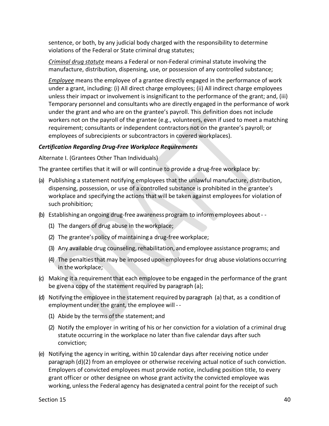sentence, or both, by any judicial body charged with the responsibility to determine violations of the Federal or State criminal drug statutes;

*Criminal drug statute* means a Federal or non‐Federal criminal statute involving the manufacture, distribution, dispensing, use, or possession of any controlled substance;

*Employee* means the employee of a grantee directly engaged in the performance of work under a grant, including: (i) All direct charge employees; (ii) All indirect charge employees unless their impact or involvement is insignificant to the performance of the grant; and, (iii) Temporary personnel and consultants who are directly engaged in the performance of work under the grant and who are on the grantee's payroll. This definition does not include workers not on the payroll of the grantee (e.g., volunteers, even if used to meet a matching requirement; consultants or independent contractors not on the grantee's payroll; or employees of subrecipients or subcontractors in covered workplaces).

#### *Certification Regarding Drug‐Free Workplace Requirements*

Alternate I. (Grantees Other Than Individuals)

The grantee certifies that it will or will continue to provide a drug-free workplace by:

- (a) Publishing a statement notifying employees that the unlawful manufacture, distribution, dispensing, possession, or use of a controlled substance is prohibited in the grantee's workplace and specifying the actions that will be taken against employees for violation of such prohibition;
- (b) Establishing an ongoing drug‐free awareness program to inform employees about ‐ ‐
	- (1) The dangers of drug abuse in the workplace;
	- (2) The grantee's policy of maintaining a drug‐free workplace;
	- (3) Any available drug counseling, rehabilitation, and employee assistance programs; and
	- (4) The penalties that may be imposed upon employees for drug abuse violations occurring in the workplace;
- (c) Making it a requirement that each employee to be engaged in the performance of the grant be given a copy of the statement required by paragraph (a);
- (d) Notifying the employee in the statement required by paragraph (a) that, as a condition of employment under the grant, the employee will ‐ ‐
	- (1) Abide by the terms of the statement; and
	- (2) Notify the employer in writing of his or her conviction for a violation of a criminal drug statute occurring in the workplace no later than five calendar days after such conviction;
- (e) Notifying the agency in writing, within 10 calendar days after receiving notice under paragraph (d)(2) from an employee or otherwise receiving actual notice of such conviction. Employers of convicted employees must provide notice, including position title, to every grant officer or other designee on whose grant activity the convicted employee was working, unless the Federal agency has designated a central point for the receipt of such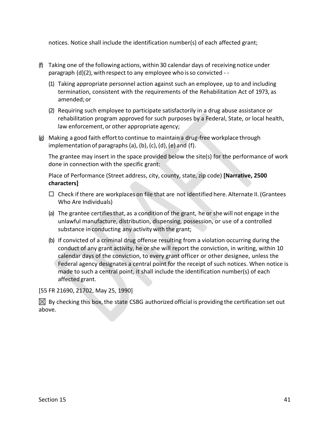notices. Notice shall include the identification number(s) of each affected grant;

- (f) Taking one of the following actions, within 30 calendar days of receiving notice under paragraph (d)(2), with respect to any employee who is so convicted ‐ ‐
	- (1) Taking appropriate personnel action against such an employee, up to and including termination, consistent with the requirements of the Rehabilitation Act of 1973, as amended; or
	- (2) Requiring such employee to participate satisfactorily in a drug abuse assistance or rehabilitation program approved for such purposes by a Federal, State, or local health, law enforcement, or other appropriate agency;
- (g) Making a good faith effort to continue to maintain a drug‐free workplace through implementation of paragraphs (a), (b), (c), (d), (e) and (f).

The grantee may insert in the space provided below the site(s) for the performance of work done in connection with the specific grant:

Place of Performance (Street address, city, county, state, zip code) **[Narrative, 2500 characters]** 

- $\Box$  Check if there are workplaces on file that are not identified here. Alternate II. (Grantees Who Are Individuals)
- (a) The grantee certifies that, as a condition of the grant, he or she will not engage in the unlawful manufacture, distribution, dispensing, possession, or use of a controlled substance in conducting any activity with the grant;
- (b) If convicted of a criminal drug offense resulting from a violation occurring during the conduct of any grant activity, he or she will report the conviction, in writing, within 10 calendar days of the conviction, to every grant officer or other designee, unless the Federal agency designates a central point for the receipt of such notices. When notice is made to such a central point, it shall include the identification number(s) of each affected grant.

[55 FR 21690, 21702, May 25, 1990]

 $\boxtimes$  By checking this box, the state CSBG authorized official is providing the certification set out above.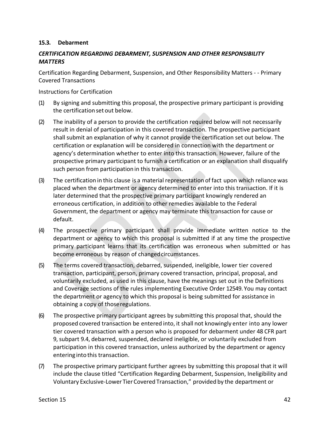#### **15.3. Debarment**

#### *CERTIFICATION REGARDING DEBARMENT, SUSPENSION AND OTHER RESPONSIBILITY MATTERS*

Certification Regarding Debarment, Suspension, and Other Responsibility Matters ‐ ‐ Primary Covered Transactions

Instructions for Certification

- (1) By signing and submitting this proposal, the prospective primary participant is providing the certification set out below.
- (2) The inability of a person to provide the certification required below will not necessarily result in denial of participation in this covered transaction. The prospective participant shall submit an explanation of why it cannot provide the certification set out below. The certification or explanation will be considered in connection with the department or agency's determination whether to enter into this transaction. However, failure of the prospective primary participant to furnish a certification or an explanation shall disqualify such person from participation in this transaction.
- (3) The certification in this clause is a material representation of fact upon which reliance was placed when the department or agency determined to enter into this transaction. If it is later determined that the prospective primary participant knowingly rendered an erroneous certification, in addition to other remedies available to the Federal Government, the department or agency may terminate this transaction for cause or default.
- (4) The prospective primary participant shall provide immediate written notice to the department or agency to which this proposal is submitted if at any time the prospective primary participant learns that its certification was erroneous when submitted or has become erroneous by reason of changed circumstances.
- (5) The terms covered transaction, debarred, suspended, ineligible, lower tier covered transaction, participant, person, primary covered transaction, principal, proposal, and voluntarily excluded, as used in this clause, have the meanings set out in the Definitions and Coverage sections of the rules implementing Executive Order 12549. You may contact the department or agency to which this proposal is being submitted for assistance in obtaining a copy of those regulations.
- (6) The prospective primary participant agrees by submitting this proposal that, should the proposed covered transaction be entered into, it shall not knowingly enter into any lower tier covered transaction with a person who is proposed for debarment under 48 CFR part 9, subpart 9.4, debarred, suspended, declared ineligible, or voluntarily excluded from participation in this covered transaction, unless authorized by the department or agency entering into this transaction.
- (7) The prospective primary participant further agrees by submitting this proposal that it will include the clause titled "Certification Regarding Debarment, Suspension, Ineligibility and Voluntary Exclusive‐Lower Tier Covered Transaction," provided by the department or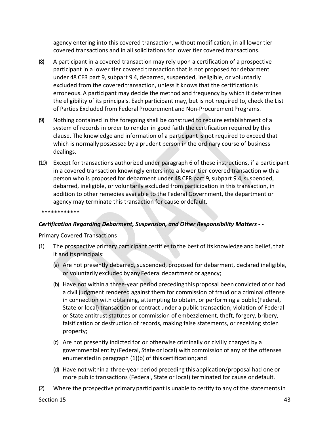agency entering into this covered transaction, without modification, in all lower tier covered transactions and in all solicitations for lower tier covered transactions.

- (8) A participant in a covered transaction may rely upon a certification of a prospective participant in a lower tier covered transaction that is not proposed for debarment under 48 CFR part 9, subpart 9.4, debarred, suspended, ineligible, or voluntarily excluded from the covered transaction, unless it knows that the certification is erroneous. A participant may decide the method and frequency by which it determines the eligibility of its principals. Each participant may, but is not required to, check the List of Parties Excluded from Federal Procurement and Non‐Procurement Programs.
- (9) Nothing contained in the foregoing shall be construed to require establishment of a system of records in order to render in good faith the certification required by this clause. The knowledge and information of a participant is not required to exceed that which is normally possessed by a prudent person in the ordinary course of business dealings.
- (10) Except for transactions authorized under paragraph 6 of these instructions, if a participant in a covered transaction knowingly enters into a lower tier covered transaction with a person who is proposed for debarment under 48 CFR part 9, subpart 9.4, suspended, debarred, ineligible, or voluntarily excluded from participation in this transaction, in addition to other remedies available to the Federal Government, the department or agency may terminate this transaction for cause or default.

\*\*\*\*\*\*\*\*\*\*\*\*

#### *Certification Regarding Debarment, Suspension, and Other Responsibility Matters ‐ ‐*

Primary Covered Transactions

- (1) The prospective primary participant certifies to the best of its knowledge and belief, that it and its principals:
	- (a) Are not presently debarred, suspended, proposed for debarment, declared ineligible, or voluntarily excluded by any Federal department or agency;
	- (b) Have not within a three‐year period preceding this proposal been convicted of or had a civil judgment rendered against them for commission of fraud or a criminal offense in connection with obtaining, attempting to obtain, or performing a public(Federal, State or local) transaction or contract under a public transaction; violation of Federal or State antitrust statutes or commission of embezzlement, theft, forgery, bribery, falsification or destruction of records, making false statements, or receiving stolen property;
	- (c) Are not presently indicted for or otherwise criminally or civilly charged by a governmental entity (Federal, State or local) with commission of any of the offenses enumerated in paragraph (1)(b) of this certification; and
	- (d) Have not within a three‐year period preceding this application/proposal had one or more public transactions (Federal, State or local) terminated for cause or default.
- (2) Where the prospective primary participant is unable to certify to any of the statements in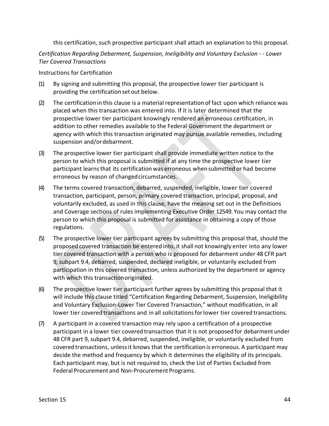this certification, such prospective participant shall attach an explanation to this proposal.

*Certification Regarding Debarment, Suspension, Ineligibility and Voluntary Exclusion ‐ ‐ Lower Tier Covered Transactions* 

Instructions for Certification

- (1) By signing and submitting this proposal, the prospective lower tier participant is providing the certification set out below.
- (2) The certification in this clause is a material representation of fact upon which reliance was placed when this transaction was entered into. If it is later determined that the prospective lower tier participant knowingly rendered an erroneous certification, in addition to other remedies available to the Federal Government the department or agency with which this transaction originated may pursue available remedies, including suspension and/or debarment.
- (3) The prospective lower tier participant shall provide immediate written notice to the person to which this proposal is submitted if at any time the prospective lower tier participant learns that its certification was erroneous when submitted or had become erroneous by reason of changed circumstances.
- (4) The terms covered transaction, debarred, suspended, ineligible, lower tier covered transaction, participant, person, primary covered transaction, principal, proposal, and voluntarily excluded, as used in this clause, have the meaning set out in the Definitions and Coverage sections of rules implementing Executive Order 12549. You may contact the person to which this proposal is submitted for assistance in obtaining a copy of those regulations.
- (5) The prospective lower tier participant agrees by submitting this proposal that, should the proposed covered transaction be entered into, it shall not knowingly enter into any lower tier covered transaction with a person who is proposed for debarment under 48 CFR part 9, subpart 9.4, debarred, suspended, declared ineligible, or voluntarily excluded from participation in this covered transaction, unless authorized by the department or agency with which this transaction originated.
- (6) The prospective lower tier participant further agrees by submitting this proposal that it will include this clause titled "Certification Regarding Debarment, Suspension, Ineligibility and Voluntary Exclusion‐Lower Tier Covered Transaction," without modification, in all lower tier covered transactions and in all solicitations for lower tier covered transactions.
- (7) A participant in a covered transaction may rely upon a certification of a prospective participant in a lower tier covered transaction that it is not proposed for debarment under 48 CFR part 9, subpart 9.4, debarred, suspended, ineligible, or voluntarily excluded from covered transactions, unless it knows that the certification is erroneous. A participant may decide the method and frequency by which it determines the eligibility of its principals. Each participant may, but is not required to, check the List of Parties Excluded from Federal Procurement and Non‐Procurement Programs.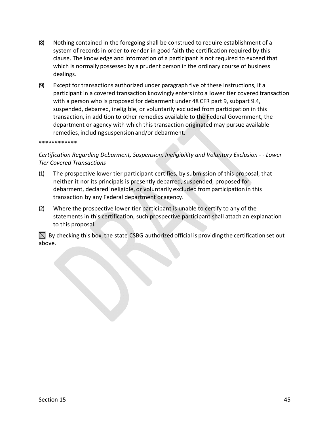- (8) Nothing contained in the foregoing shall be construed to require establishment of a system of records in order to render in good faith the certification required by this clause. The knowledge and information of a participant is not required to exceed that which is normally possessed by a prudent person in the ordinary course of business dealings.
- (9) Except for transactions authorized under paragraph five of these instructions, if a participant in a covered transaction knowingly enters into a lower tier covered transaction with a person who is proposed for debarment under 48 CFR part 9, subpart 9.4, suspended, debarred, ineligible, or voluntarily excluded from participation in this transaction, in addition to other remedies available to the Federal Government, the department or agency with which this transaction originated may pursue available remedies, including suspension and/or debarment.

#### \*\*\*\*\*\*\*\*\*\*\*\*

#### *Certification Regarding Debarment, Suspension, Ineligibility and Voluntary Exclusion ‐ ‐ Lower Tier Covered Transactions*

- (1) The prospective lower tier participant certifies, by submission of this proposal, that neither it nor its principals is presently debarred, suspended, proposed for debarment, declared ineligible, or voluntarily excluded from participation in this transaction by any Federal department or agency.
- (2) Where the prospective lower tier participant is unable to certify to any of the statements in this certification, such prospective participant shall attach an explanation to this proposal.

 $\boxtimes$  By checking this box, the state CSBG authorized official is providing the certification set out above.